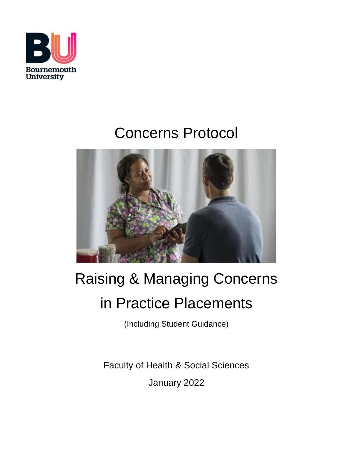

# Concerns Protocol



# Raising & Managing Concerns in Practice Placements

(Including Student Guidance)

Faculty of Health & Social Sciences January 2022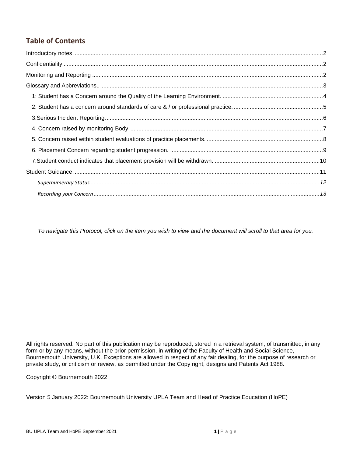# **Table of Contents**

*To navigate this Protocol, click on the item you wish to view and the document will scroll to that area for you.*

All rights reserved. No part of this publication may be reproduced, stored in a retrieval system, of transmitted, in any form or by any means, without the prior permission, in writing of the Faculty of Health and Social Science, Bournemouth University, U.K. Exceptions are allowed in respect of any fair dealing, for the purpose of research or private study, or criticism or review, as permitted under the Copy right, designs and Patents Act 1988.

Copyright © Bournemouth 2022

Version 5 January 2022: Bournemouth University UPLA Team and Head of Practice Education (HoPE)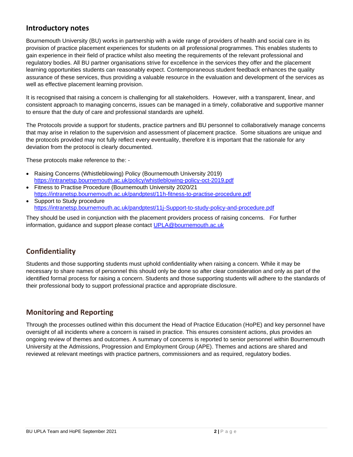## <span id="page-2-0"></span>**Introductory notes**

Bournemouth University (BU) works in partnership with a wide range of providers of health and social care in its provision of practice placement experiences for students on all professional programmes. This enables students to gain experience in their field of practice whilst also meeting the requirements of the relevant professional and regulatory bodies. All BU partner organisations strive for excellence in the services they offer and the placement learning opportunities students can reasonably expect. Contemporaneous student feedback enhances the quality assurance of these services, thus providing a valuable resource in the evaluation and development of the services as well as effective placement learning provision.

It is recognised that raising a concern is challenging for all stakeholders. However, with a transparent, linear, and consistent approach to managing concerns, issues can be managed in a timely, collaborative and supportive manner to ensure that the duty of care and professional standards are upheld.

The Protocols provide a support for students, practice partners and BU personnel to collaboratively manage concerns that may arise in relation to the supervision and assessment of placement practice. Some situations are unique and the protocols provided may not fully reflect every eventuality, therefore it is important that the rationale for any deviation from the protocol is clearly documented.

These protocols make reference to the: -

- Raising Concerns (Whistleblowing) Policy (Bournemouth University 2019) <https://intranetsp.bournemouth.ac.uk/policy/whistleblowing-policy-oct-2019.pdf>
- Fitness to Practise Procedure (Bournemouth University 2020/21 <https://intranetsp.bournemouth.ac.uk/pandptest/11h-fitness-to-practise-procedure.pdf>
- Support to Study procedure <https://intranetsp.bournemouth.ac.uk/pandptest/11j-Support-to-study-policy-and-procedure.pdf>

They should be used in conjunction with the placement providers process of raising concerns. For further information, guidance and support please contact [UPLA@bournemouth.ac.uk](mailto:UPLA@bournemouth.ac.uk)

# <span id="page-2-1"></span>**Confidentiality**

Students and those supporting students must uphold confidentiality when raising a concern. While it may be necessary to share names of personnel this should only be done so after clear consideration and only as part of the identified formal process for raising a concern. Students and those supporting students will adhere to the standards of their professional body to support professional practice and appropriate disclosure.

# <span id="page-2-2"></span>**Monitoring and Reporting**

Through the processes outlined within this document the Head of Practice Education (HoPE) and key personnel have oversight of all incidents where a concern is raised in practice. This ensures consistent actions, plus provides an ongoing review of themes and outcomes. A summary of concerns is reported to senior personnel within Bournemouth University at the Admissions, Progression and Employment Group (APE). Themes and actions are shared and reviewed at relevant meetings with practice partners, commissioners and as required, regulatory bodies.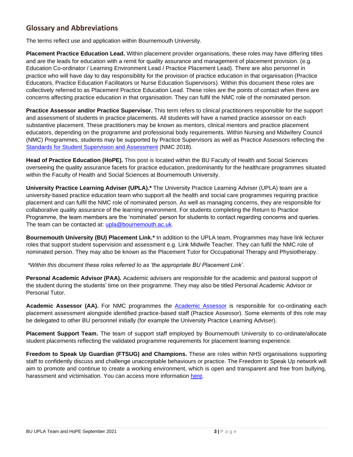# <span id="page-3-0"></span>**Glossary and Abbreviations**

The terms reflect use and application within Bournemouth University.

**Placement Practice Education Lead.** Within placement provider organisations, these roles may have differing titles and are the leads for education with a remit for quality assurance and management of placement provision. (e.g. Education Co-ordinator / Learning Environment Lead / Practice Placement Lead). There are also personnel in practice who will have day to day responsibility for the provision of practice education in that organisation (Practice Educators, Practice Education Facilitators or Nurse Education Supervisors). Within this document these roles are collectively referred to as Placement Practice Education Lead. These roles are the points of contact when there are concerns affecting practice education in that organisation. They can fulfil the NMC role of the nominated person.

**Practice Assessor and/or Practice Supervisor.** This term refers to clinical practitioners responsible for the support and assessment of students in practice placements. All students will have a named practice assessor on each substantive placement. These practitioners may be known as mentors, clinical mentors and practice placement educators, depending on the programme and professional body requirements. Within Nursing and Midwifery Council (NMC) Programmes, students may be supported by Practice Supervisors as well as Practice Assessors reflecting the [Standards for Student Supervision and Assessment](https://www.nmc.org.uk/globalassets/sitedocuments/education-standards/student-supervision-assessment.pdf) (NMC 2018).

**Head of Practice Education (HoPE).** This post is located within the BU Faculty of Health and Social Sciences overseeing the quality assurance facets for practice education, predominantly for the healthcare programmes situated within the Faculty of Health and Social Sciences at Bournemouth University.

**University Practice Learning Adviser (UPLA).\*** The University Practice Learning Adviser (UPLA) team are a university-based practice education team who support all the health and social care programmes requiring practice placement and can fulfil the NMC role of nominated person. As well as managing concerns, they are responsible for collaborative quality assurance of the learning environment. For students completing the Return to Practice Programme, the team members are the 'nominated' person for students to contact regarding concerns and queries. The team can be contacted at: [upla@bournemouth.ac.uk.](mailto:upla@bournemouth.ac.uk)

**Bournemouth University (BU) Placement Link.\*** In addition to the UPLA team, Programmes may have link lecturer roles that support student supervision and assessment e.g. Link Midwife Teacher. They can fulfil the NMC role of nominated person. They may also be known as the Placement Tutor for Occupational Therapy and Physiotherapy.

*\*Within this document these roles referred to as 'the appropriate BU Placement Link'.*

**Personal Academic Advisor (PAA).** Academic advisers are responsible for the academic and pastoral support of the student during the students' time on their programme. They may also be titled Personal Academic Advisor or Personal Tutor.

**Academic Assessor (AA).** For NMC programmes the [Academic Assessor](https://www.nmc.org.uk/globalassets/sitedocuments/education-standards/student-supervision-assessment.pdf) is responsible for co-ordinating each placement assessment alongside identified practice-based staff (Practice Assessor). Some elements of this role may be delegated to other BU personnel initially (for example the University Practice Learning Adviser).

**Placement Support Team.** The team of support staff employed by Bournemouth University to co-ordinate/allocate student placements reflecting the validated programme requirements for placement learning experience.

**Freedom to Speak Up Guardian (FTSUG) and Champions.** These are roles within NHS organisations supporting staff to confidently discuss and challenge unacceptable behaviours or practice. The Freedom to Speak Up network will aim to promote and continue to create a working environment, which is open and transparent and free from bullying, harassment and victimisation. You can access more information [here.](https://nationalguardian.org.uk/)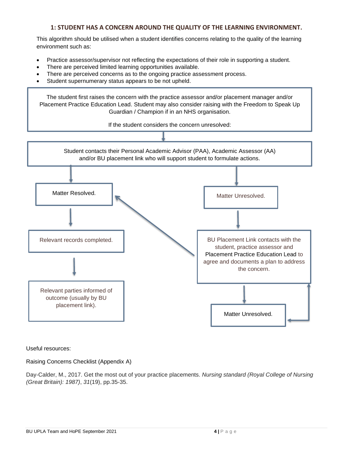#### **1: STUDENT HAS A CONCERN AROUND THE QUALITY OF THE LEARNING ENVIRONMENT.**

<span id="page-4-0"></span>This algorithm should be utilised when a student identifies concerns relating to the quality of the learning environment such as:

- Practice assessor/supervisor not reflecting the expectations of their role in supporting a student.
- There are perceived limited learning opportunities available.
- There are perceived concerns as to the ongoing practice assessment process.
- Student supernumerary status appears to be not upheld.

The student first raises the concern with the practice assessor and/or placement manager and/or Placement Practice Education Lead. Student may also consider raising with the Freedom to Speak Up Guardian / Champion if in an NHS organisation.

If the student considers the concern unresolved:



Useful resources:

Raising Concerns Checklist (Appendix A)

Day-Calder, M., 2017. Get the most out of your practice placements. *Nursing standard (Royal College of Nursing (Great Britain): 1987)*, *31*(19), pp.35-35.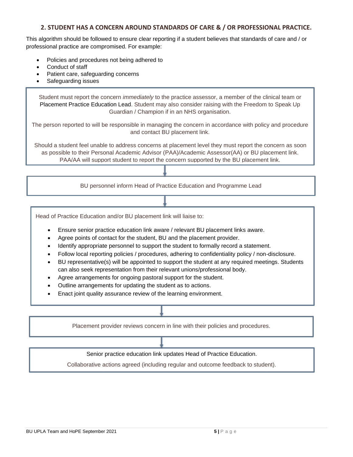#### **2. STUDENT HAS A CONCERN AROUND STANDARDS OF CARE & / OR PROFESSIONAL PRACTICE.**

<span id="page-5-0"></span>This algorithm should be followed to ensure clear reporting if a student believes that standards of care and / or professional practice are compromised. For example:

- Policies and procedures not being adhered to
- Conduct of staff
- Patient care, safeguarding concerns
- Safeguarding issues

Student must report the concern *immediately* to the practice assessor, a member of the clinical team or Placement Practice Education Lead. Student may also consider raising with the Freedom to Speak Up Guardian / Champion if in an NHS organisation.

The person reported to will be responsible in managing the concern in accordance with policy and procedure and contact BU placement link.

Should a student feel unable to address concerns at placement level they must report the concern as soon as possible to their Personal Academic Advisor (PAA)/Academic Assessor(AA) or BU placement link. PAA/AA will support student to report the concern supported by the BU placement link.

BU personnel inform Head of Practice Education and Programme Lead

Head of Practice Education and/or BU placement link will liaise to:

- Ensure senior practice education link aware / relevant BU placement links aware.
- Agree points of contact for the student, BU and the placement provider.
- Identify appropriate personnel to support the student to formally record a statement.
- Follow local reporting policies / procedures, adhering to confidentiality policy / non-disclosure.
- BU representative(s) will be appointed to support the student at any required meetings. Students can also seek representation from their relevant unions/professional body.
- Agree arrangements for ongoing pastoral support for the student.
- Outline arrangements for updating the student as to actions.
- Enact joint quality assurance review of the learning environment.

Placement provider reviews concern in line with their policies and procedures.

Senior practice education link updates Head of Practice Education.

Collaborative actions agreed (including regular and outcome feedback to student).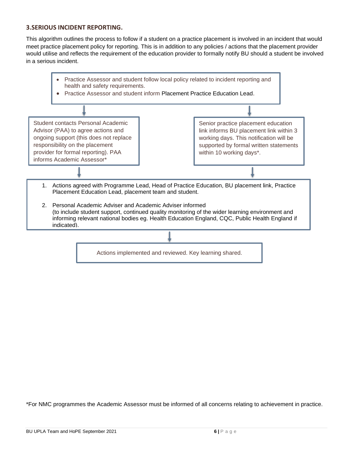#### <span id="page-6-0"></span>**3.SERIOUS INCIDENT REPORTING.**

This algorithm outlines the process to follow if a student on a practice placement is involved in an incident that would meet practice placement policy for reporting. This is in addition to any policies / actions that the placement provider would utilise and reflects the requirement of the education provider to formally notify BU should a student be involved in a serious incident.



\*For NMC programmes the Academic Assessor must be informed of all concerns relating to achievement in practice.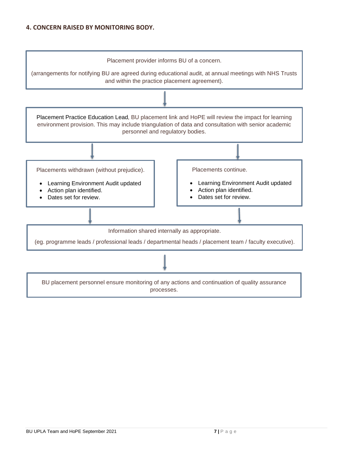#### <span id="page-7-0"></span>**4. CONCERN RAISED BY MONITORING BODY.**

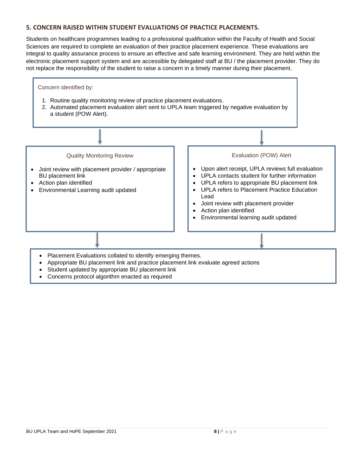#### <span id="page-8-0"></span>**5. CONCERN RAISED WITHIN STUDENT EVALUATIONS OF PRACTICE PLACEMENTS.**

Students on healthcare programmes leading to a professional qualification within the Faculty of Health and Social Sciences are required to complete an evaluation of their practice placement experience. These evaluations are integral to quality assurance process to ensure an effective and safe learning environment. They are held within the electronic placement support system and are accessible by delegated staff at BU / the placement provider. They do not replace the responsibility of the student to raise a concern in a timely manner during their placement.



- Student updated by appropriate BU placement link
- Concerns protocol algorithm enacted as required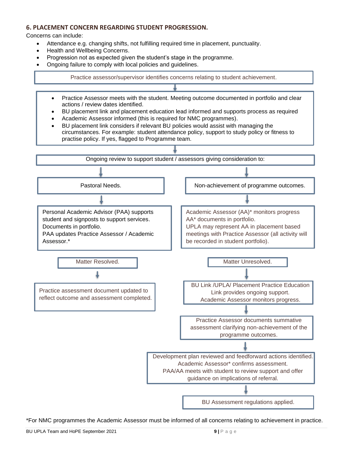#### <span id="page-9-0"></span>**6. PLACEMENT CONCERN REGARDING STUDENT PROGRESSION.**

Concerns can include:

- Attendance e.g. changing shifts, not fulfilling required time in placement, punctuality.
- Health and Wellbeing Concerns.
- Progression not as expected given the student's stage in the programme.
- Ongoing failure to comply with local policies and guidelines.

Practice assessor/supervisor identifies concerns relating to student achievement.

- Practice Assessor meets with the student. Meeting outcome documented in portfolio and clear actions / review dates identified.
- BU placement link and placement education lead informed and supports process as required
- Academic Assessor informed (this is required for NMC programmes).
- BU placement link considers if relevant BU policies would assist with managing the circumstances. For example: student attendance policy, support to study policy or fitness to practise policy. If yes, flagged to Programme team.



\*For NMC programmes the Academic Assessor must be informed of all concerns relating to achievement in practice.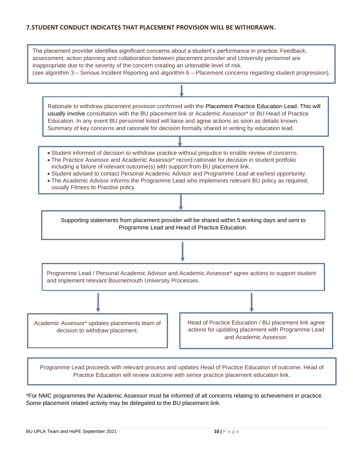#### <span id="page-10-0"></span>**7.STUDENT CONDUCT INDICATES THAT PLACEMENT PROVISION WILL BE WITHDRAWN.**

| The placement provider identifies significant concerns about a student's performance in practice. Feedback,<br>assessment, action planning and collaboration between placement provider and University personnel are<br>inappropriate due to the severity of the concern creating an untenable level of risk.<br>(see algorithm 3 - Serious Incident Reporting and algorithm 6 - Placement concerns regarding student progression).                                                                                                          |  |  |
|----------------------------------------------------------------------------------------------------------------------------------------------------------------------------------------------------------------------------------------------------------------------------------------------------------------------------------------------------------------------------------------------------------------------------------------------------------------------------------------------------------------------------------------------|--|--|
|                                                                                                                                                                                                                                                                                                                                                                                                                                                                                                                                              |  |  |
| Rationale to withdraw placement provision confirmed with the Placement Practice Education Lead. This will<br>usually involve consultation with the BU placement link or Academic Assessor* or BU Head of Practice<br>Education. In any event BU personnel listed will liaise and agree actions as soon as details known.<br>Summary of key concerns and rationale for decision formally shared in writing by education lead.                                                                                                                 |  |  |
|                                                                                                                                                                                                                                                                                                                                                                                                                                                                                                                                              |  |  |
| • Student informed of decision to withdraw practice without prejudice to enable review of concerns.<br>. The Practice Assessor and Academic Assessor* record rationale for decision in student portfolio<br>including a failure of relevant outcome(s) with support from BU placement link.<br>• Student advised to contact Personal Academic Advisor and Programme Lead at earliest opportunity.<br>. The Academic Advisor informs the Programme Lead who implements relevant BU policy as required,<br>usually Fitness to Practise policy. |  |  |
|                                                                                                                                                                                                                                                                                                                                                                                                                                                                                                                                              |  |  |
| Supporting statements from placement provider will be shared within 5 working days and sent to<br>Programme Lead and Head of Practice Education.                                                                                                                                                                                                                                                                                                                                                                                             |  |  |
|                                                                                                                                                                                                                                                                                                                                                                                                                                                                                                                                              |  |  |
| Programme Lead / Personal Academic Advisor and Academic Assessor* agree actions to support student<br>and implement relevant Bournemouth University Processes.                                                                                                                                                                                                                                                                                                                                                                               |  |  |
|                                                                                                                                                                                                                                                                                                                                                                                                                                                                                                                                              |  |  |
| Head of Practice Education / BU placement link agree<br>Academic Assessor* updates placements team of<br>actions for updating placement with Programme Lead<br>decision to withdraw placement.<br>and Academic Assessor.                                                                                                                                                                                                                                                                                                                     |  |  |
|                                                                                                                                                                                                                                                                                                                                                                                                                                                                                                                                              |  |  |

Programme Lead proceeds with relevant process and updates Head of Practice Education of outcome. Head of Practice Education will review outcome with senior practice placement education link.

\*For NMC programmes the Academic Assessor must be informed of all concerns relating to achievement in practice. Some placement related activity may be delegated to the BU placement link.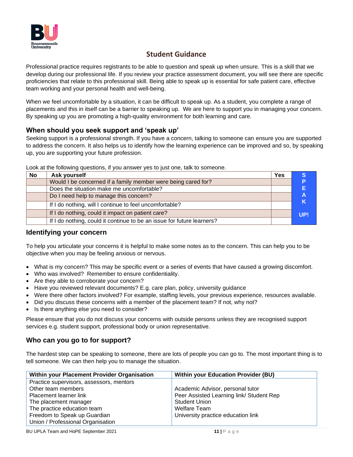

# **Student Guidance**

<span id="page-11-0"></span>Professional practice requires registrants to be able to question and speak up when unsure. This is a skill that we develop during our professional life. If you review your practice assessment document, you will see there are specific proficiencies that relate to this professional skill. Being able to speak up is essential for safe patient care, effective team working and your personal health and well-being.

When we feel uncomfortable by a situation, it can be difficult to speak up. As a student, you complete a range of placements and this in itself can be a barrier to speaking up. We are here to support you in managing your concern. By speaking up you are promoting a high-quality environment for both learning and care.

### **When should you seek support and 'speak up'**

Seeking support is a professional strength. If you have a concern, talking to someone can ensure you are supported to address the concern. It also helps us to identify how the learning experience can be improved and so, by speaking up, you are supporting your future profession.

| No | Ask yourself                                                           | <b>Yes</b> |     |
|----|------------------------------------------------------------------------|------------|-----|
|    | Would I be concerned if a family member were being cared for?          |            | P   |
|    | Does the situation make me uncomfortable?                              |            | Е   |
|    | Do I need help to manage this concern?                                 |            | А   |
|    | If I do nothing, will I continue to feel uncomfortable?                |            | K   |
|    | If I do nothing, could it impact on patient care?                      |            | UP! |
|    | If I do nothing, could it continue to be an issue for future learners? |            |     |

Look at the following questions, if you answer yes to just one, talk to someone.

#### **Identifying your concern**

To help you articulate your concerns it is helpful to make some notes as to the concern. This can help you to be objective when you may be feeling anxious or nervous.

- What is my concern? This may be specific event or a series of events that have caused a growing discomfort.
- Who was involved? Remember to ensure confidentiality.
- Are they able to corroborate your concern?
- Have you reviewed relevant documents? E.g. care plan, policy, university guidance
- Were there other factors involved? For example, staffing levels, your previous experience, resources available.
- Did you discuss these concerns with a member of the placement team? If not, why not?
- Is there anything else you need to consider?

Please ensure that you do not discuss your concerns with outside persons unless they are recognised support services e.g. student support, professional body or union representative.

#### **Who can you go to for support?**

The hardest step can be speaking to someone, there are lots of people you can go to. The most important thing is to tell someone. We can then help you to manage the situation.

| Within your Placement Provider Organisation | <b>Within your Education Provider (BU)</b> |
|---------------------------------------------|--------------------------------------------|
| Practice supervisors, assessors, mentors    |                                            |
| Other team members                          | Academic Advisor, personal tutor           |
| Placement learner link                      | Peer Assisted Learning link/ Student Rep   |
| The placement manager                       | <b>Student Union</b>                       |
| The practice education team                 | Welfare Team                               |
| Freedom to Speak up Guardian                | University practice education link         |
| Union / Professional Organisation           |                                            |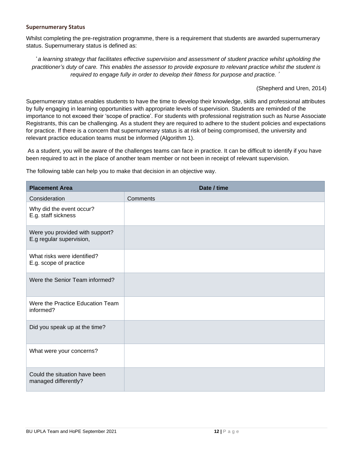#### <span id="page-12-0"></span>**Supernumerary Status**

Whilst completing the pre-registration programme, there is a requirement that students are awarded supernumerary status. Supernumerary status is defined as:

'*a learning strategy that facilitates effective supervision and assessment of student practice whilst upholding the practitioner's duty of care. This enables the assessor to provide exposure to relevant practice whilst the student is required to engage fully in order to develop their fitness for purpose and practice.*'

(Shepherd and Uren, 2014)

Supernumerary status enables students to have the time to develop their knowledge, skills and professional attributes by fully engaging in learning opportunities with appropriate levels of supervision. Students are reminded of the importance to not exceed their 'scope of practice'. For students with professional registration such as Nurse Associate Registrants, this can be challenging. As a student they are required to adhere to the student policies and expectations for practice. If there is a concern that supernumerary status is at risk of being compromised, the university and relevant practice education teams must be informed (Algorithm 1).

As a student, you will be aware of the challenges teams can face in practice. It can be difficult to identify if you have been required to act in the place of another team member or not been in receipt of relevant supervision.

The following table can help you to make that decision in an objective way.

| <b>Placement Area</b>                                       | Date / time |
|-------------------------------------------------------------|-------------|
| Consideration                                               | Comments    |
| Why did the event occur?<br>E.g. staff sickness             |             |
| Were you provided with support?<br>E.g regular supervision, |             |
| What risks were identified?<br>E.g. scope of practice       |             |
| Were the Senior Team informed?                              |             |
| Were the Practice Education Team<br>informed?               |             |
| Did you speak up at the time?                               |             |
| What were your concerns?                                    |             |
| Could the situation have been<br>managed differently?       |             |